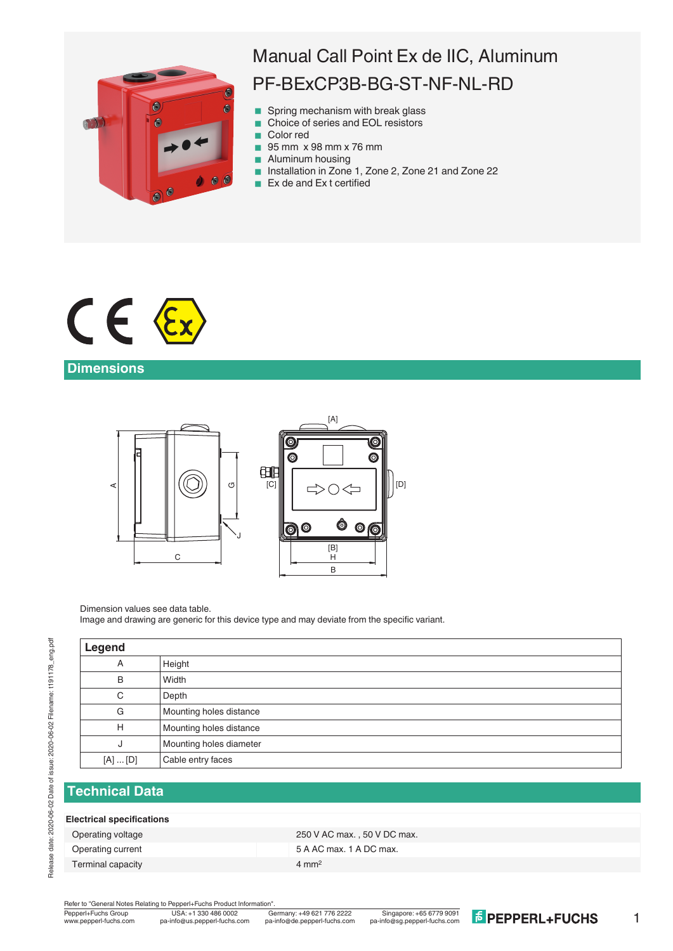

# Manual Call Point Ex de IIC, Aluminum PF-BExCP3B-BG-ST-NF-NL-RD

- Spring mechanism with break glass
- Choice of series and EOL resistors
- Color red
- **95 mm x 98 mm x 76 mm**
- **Aluminum housing**
- Installation in Zone 1, Zone 2, Zone 21 and Zone 22
- $\blacksquare$  Ex de and Ex t certified



# **Dimensions**



Dimension values see data table.

Image and drawing are generic for this device type and may deviate from the specific variant.

| Legend      |                         |
|-------------|-------------------------|
| A           | Height                  |
| B           | Width                   |
| C           | Depth                   |
| G           | Mounting holes distance |
| H           | Mounting holes distance |
| J           | Mounting holes diameter |
| $[A]$ $[D]$ | Cable entry faces       |
|             |                         |

## **Technical Data**

### **Electrical specifications**

Terminal capacity **4 mm<sup>2</sup>** 

Operating voltage 250 V AC max., 50 V DC max. Operating current Contract Contract Contract Contract Contract Contract Contract Contract Contract Contract Contract Contract Contract Contract Contract Contract Contract Contract Contract Contract Contract Contract Contra

Refer to "General Notes Relating to Pepperl+Fuchs Product Information"

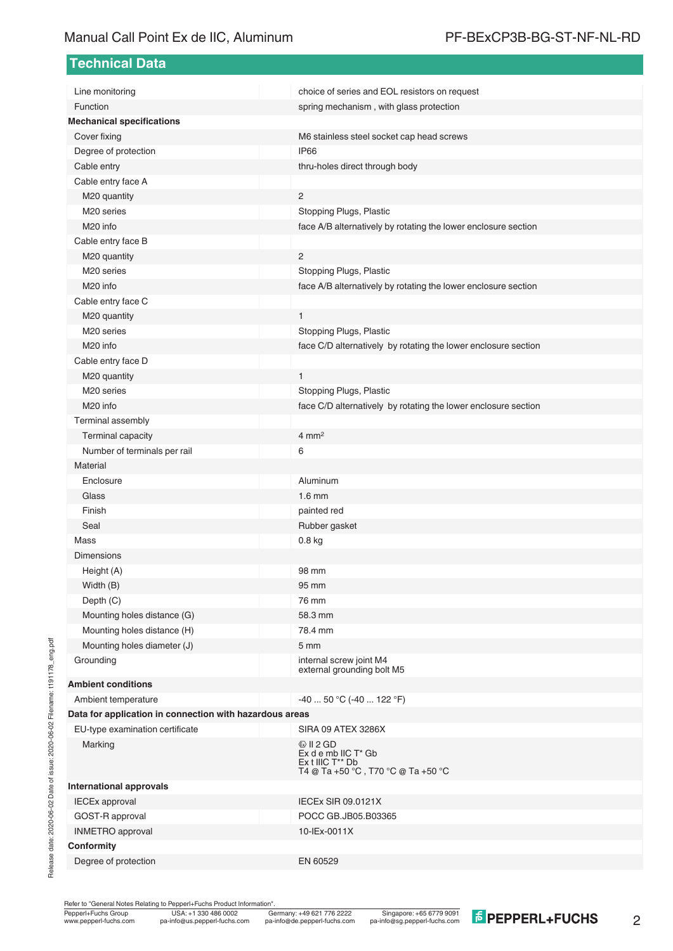# Manual Call Point Ex de IIC, Aluminum PF-BExCP3B-BG-ST-NF-NL-RD

**Technical Data**

| Line monitoring                                         | choice of series and EOL resistors on request                                                                       |
|---------------------------------------------------------|---------------------------------------------------------------------------------------------------------------------|
| Function                                                | spring mechanism, with glass protection                                                                             |
| <b>Mechanical specifications</b>                        |                                                                                                                     |
| Cover fixing                                            | M6 stainless steel socket cap head screws                                                                           |
| Degree of protection                                    | IP66                                                                                                                |
| Cable entry                                             | thru-holes direct through body                                                                                      |
| Cable entry face A                                      | $\overline{2}$                                                                                                      |
| M20 quantity<br>M20 series                              |                                                                                                                     |
| M <sub>20</sub> info                                    | Stopping Plugs, Plastic                                                                                             |
|                                                         | face A/B alternatively by rotating the lower enclosure section                                                      |
| Cable entry face B                                      | $\overline{2}$                                                                                                      |
| M20 quantity<br>M <sub>20</sub> series                  |                                                                                                                     |
| M <sub>20</sub> info                                    | Stopping Plugs, Plastic<br>face A/B alternatively by rotating the lower enclosure section                           |
|                                                         |                                                                                                                     |
| Cable entry face C                                      | $\mathbf{1}$                                                                                                        |
| M20 quantity<br>M <sub>20</sub> series                  |                                                                                                                     |
| M <sub>20</sub> info                                    | Stopping Plugs, Plastic                                                                                             |
|                                                         | face C/D alternatively by rotating the lower enclosure section                                                      |
| Cable entry face D                                      | 1                                                                                                                   |
| M20 quantity<br>M <sub>20</sub> series                  | Stopping Plugs, Plastic                                                                                             |
| M <sub>20</sub> info                                    | face C/D alternatively by rotating the lower enclosure section                                                      |
| Terminal assembly                                       |                                                                                                                     |
| Terminal capacity                                       | $4 \text{ mm}^2$                                                                                                    |
| Number of terminals per rail                            | 6                                                                                                                   |
| Material                                                |                                                                                                                     |
| Enclosure                                               | Aluminum                                                                                                            |
| Glass                                                   | $1.6$ mm                                                                                                            |
| Finish                                                  | painted red                                                                                                         |
| Seal                                                    | Rubber gasket                                                                                                       |
| Mass                                                    | 0.8 kg                                                                                                              |
| <b>Dimensions</b>                                       |                                                                                                                     |
| Height (A)                                              | 98 mm                                                                                                               |
| Width (B)                                               | 95 mm                                                                                                               |
| Depth (C)                                               | 76 mm                                                                                                               |
| Mounting holes distance (G)                             | 58.3 mm                                                                                                             |
| Mounting holes distance (H)                             | 78.4 mm                                                                                                             |
| Mounting holes diameter (J)                             | 5 <sub>mm</sub>                                                                                                     |
| Grounding                                               | internal screw joint M4                                                                                             |
|                                                         | external grounding bolt M5                                                                                          |
| <b>Ambient conditions</b>                               |                                                                                                                     |
| Ambient temperature                                     | $-4050$ °C ( $-40122$ °F)                                                                                           |
| Data for application in connection with hazardous areas |                                                                                                                     |
| EU-type examination certificate                         | SIRA 09 ATEX 3286X                                                                                                  |
| Marking                                                 | $\circledcirc$ II 2 GD<br>$Ex$ d e mb IIC $T^*$ Gb<br>$Ex$ t IIIC $T^{**}$ Db<br>T4 @ Ta +50 °C, T70 °C @ Ta +50 °C |
| <b>International approvals</b>                          |                                                                                                                     |
| <b>IECEx approval</b>                                   | <b>IECEx SIR 09.0121X</b>                                                                                           |
| GOST-R approval                                         | POCC GB.JB05.B03365                                                                                                 |
| <b>INMETRO</b> approval                                 | 10-IEx-0011X                                                                                                        |
| Conformity                                              |                                                                                                                     |
| Degree of protection                                    | EN 60529                                                                                                            |

Refer to "General Notes Relating to Pepperl+Fuchs Product Information".